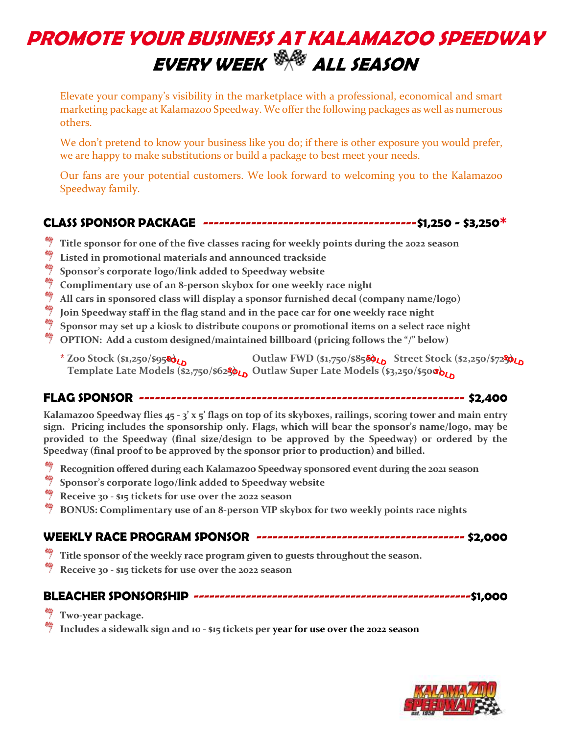# **PROMOTE YOUR BUSINESS AT KALAMAZOO SPEEDWAY EVERY WEEK ALL SEASON**

Elevate your company's visibility in the marketplace with a professional, economical and smart marketing package at Kalamazoo Speedway. We offer the following packages as well as numerous others.

We don't pretend to know your business like you do; if there is other exposure you would prefer, we are happy to make substitutions or build a package to best meet your needs.

Our fans are your potential customers. We look forward to welcoming you to the Kalamazoo Speedway family.

## **CLASS SPONSOR PACKAGE ----------------------------------------\$1,250 - \$3,250\***

- **Title sponsor for one of the five classes racing for weekly points during the 2022 season**
- 帅 **Listed in promotional materials and announced trackside**
- 弊 **Sponsor's corporate logo/link added to Speedway website**
- **Complimentary use of an 8-person skybox for one weekly race night**
- 鲫 **All cars in sponsored class will display a sponsor furnished decal (company name/logo)**
- 鲫 **Join Speedway staff in the flag stand and in the pace car for one weekly race night**
- 鲫 **Sponsor may set up a kiosk to distribute coupons or promotional items on a select race night**
- **OPTION: Add a custom designed/maintained billboard (pricing follows the "/" below)**
	- **\* Zoo Stock (\$1,250/\$950) Outlaw FWD (\$1,750/\$850) Street Stock (\$2,250/\$725) Template Late Models (\$2,750/\$625) Outlaw Super Late Models (\$3,250/\$500)**

#### **FLAG SPONSOR ------------------------------------------------------------- \$2,400**

**Kalamazoo Speedway flies 45 - 3' x 5' flags on top of its skyboxes, railings, scoring tower and main entry sign. Pricing includes the sponsorship only. Flags, which will bear the sponsor's name/logo, may be provided to the Speedway (final size/design to be approved by the Speedway) or ordered by the Speedway (final proof to be approved by the sponsor prior to production) and billed.** 

- **Recognition offered during each Kalamazoo Speedway sponsored event during the 2021 season**
- **Sponsor's corporate logo/link added to Speedway website**
- **Receive 30 - \$15 tickets for use over the 2022 season**
- **BONUS: Complimentary use of an 8-person VIP skybox for two weekly points race nights**

#### **WEEKLY RACE PROGRAM SPONSOR --------------------------------------- \$2,000**

- **Title sponsor of the weekly race program given to guests throughout the season.**
- **Receive 30 - \$15 tickets for use over the 2022 season**

#### **BLEACHER SPONSORSHIP -----------------------------------------------------\$1,000**

- **Two-year package.**
- **Includes a sidewalk sign and 10 - \$15 tickets per year for use over the 2022 season**